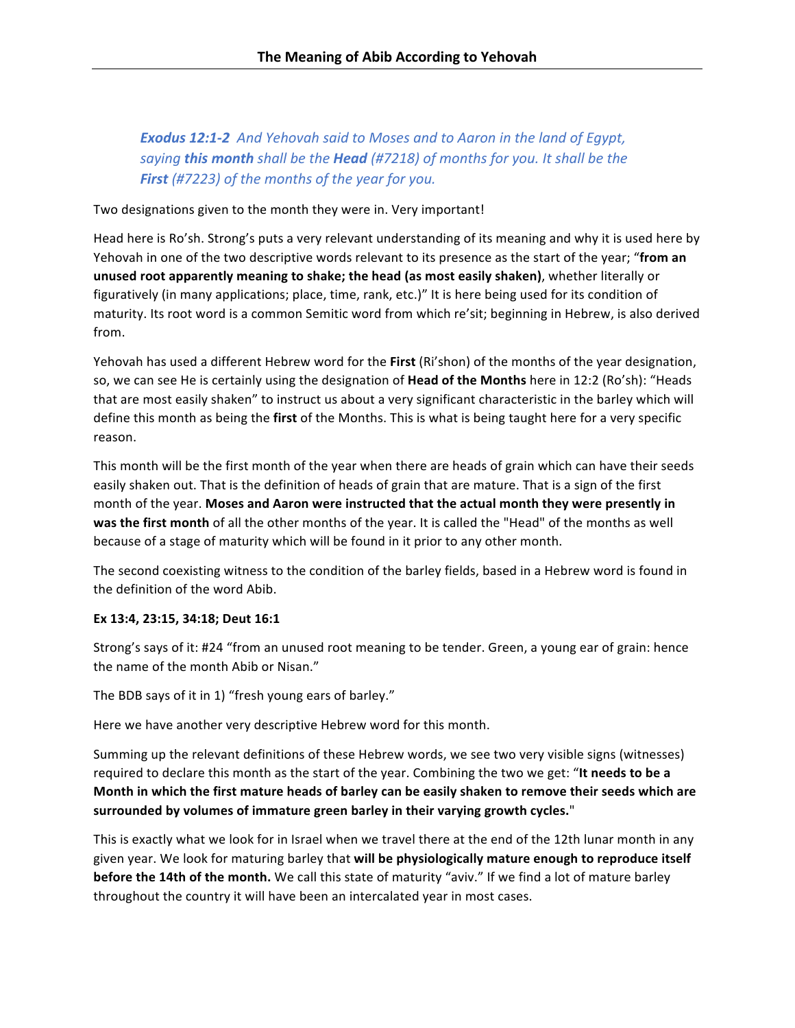**Exodus 12:1-2** And Yehovah said to Moses and to Aaron in the land of Egypt, saying **this month** shall be the **Head** (#7218) of months for you. It shall be the **First** (#7223) of the months of the year for you.

Two designations given to the month they were in. Very important!

Head here is Ro'sh. Strong's puts a very relevant understanding of its meaning and why it is used here by Yehovah in one of the two descriptive words relevant to its presence as the start of the year; "from an **unused root apparently meaning to shake; the head (as most easily shaken)**, whether literally or figuratively (in many applications; place, time, rank, etc.)" It is here being used for its condition of maturity. Its root word is a common Semitic word from which re'sit; beginning in Hebrew, is also derived from. 

Yehovah has used a different Hebrew word for the First (Ri'shon) of the months of the year designation, so, we can see He is certainly using the designation of **Head of the Months** here in 12:2 (Ro'sh): "Heads that are most easily shaken" to instruct us about a very significant characteristic in the barley which will define this month as being the first of the Months. This is what is being taught here for a very specific reason. 

This month will be the first month of the year when there are heads of grain which can have their seeds easily shaken out. That is the definition of heads of grain that are mature. That is a sign of the first month of the year. Moses and Aaron were instructed that the actual month they were presently in was the first month of all the other months of the year. It is called the "Head" of the months as well because of a stage of maturity which will be found in it prior to any other month.

The second coexisting witness to the condition of the barley fields, based in a Hebrew word is found in the definition of the word Abib.

## **Ex 13:4, 23:15, 34:18; Deut 16:1**

Strong's says of it: #24 "from an unused root meaning to be tender. Green, a young ear of grain: hence the name of the month Abib or Nisan."

The BDB says of it in 1) "fresh young ears of barley."

Here we have another very descriptive Hebrew word for this month.

Summing up the relevant definitions of these Hebrew words, we see two very visible signs (witnesses) required to declare this month as the start of the year. Combining the two we get: "**It needs to be a** Month in which the first mature heads of barley can be easily shaken to remove their seeds which are surrounded by volumes of immature green barley in their varying growth cycles."

This is exactly what we look for in Israel when we travel there at the end of the 12th lunar month in any given year. We look for maturing barley that will be physiologically mature enough to reproduce itself **before the 14th of the month.** We call this state of maturity "aviv." If we find a lot of mature barley throughout the country it will have been an intercalated year in most cases.